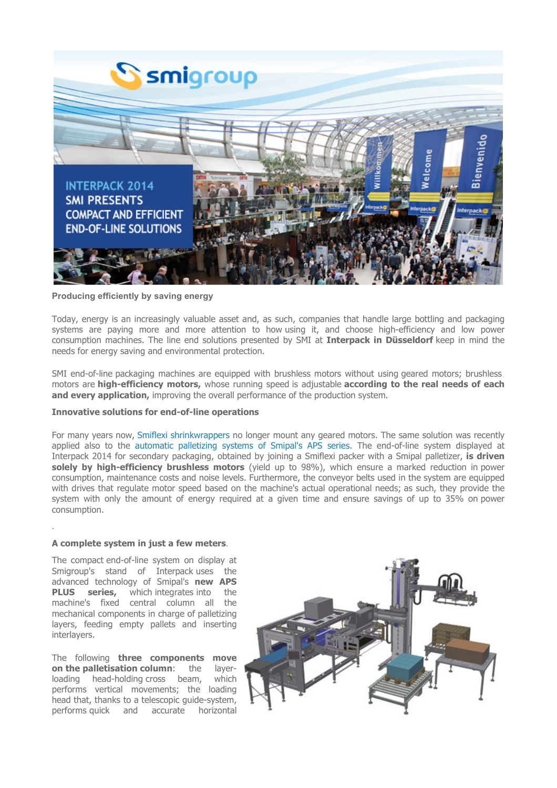

## Producing efficiently by saving energy

Today, energy is an increasingly valuable asset and, as such, companies that handle large bottling and packaging systems are paying more and more attention to how using it, and choose high-efficiency and low power consumption machines. The line end solutions presented by SMI at **Interpack in Düsseldorf** keep in mind the needs for energy saving and environmental protection.

SMI end-of-line packaging machines are equipped with brushless motors without using geared motors; brushless motors are high-efficiency motors, whose running speed is adjustable according to the real needs of each and every application, improving the overall performance of the production system.

## Innovative solutions for end-of-line operations

For many years now, Smiflexi shrinkwrappers no longer mount any geared motors. The same solution was recently applied also to the automatic palletizing systems of Smipal's APS series. The end-of-line system displayed at Interpack 2014 for secondary packaging, obtained by joining a Smiflexi packer with a Smipal palletizer, is driven solely by high-efficiency brushless motors (yield up to 98%), which ensure a marked reduction in power consumption, maintenance costs and noise levels. Furthermore, the conveyor belts used in the system are equipped with drives that regulate motor speed based on the machine's actual operational needs; as such, they provide the system with only the amount of energy required at a given time and ensure savings of up to 35% on power consumption.

## A complete system in just a few meters.

.

The compact end-of-line system on display at Smigroup's stand of Interpack uses the advanced technology of Smipal's new APS<br>PLUS series, which integrates into the which integrates into the machine's fixed central column all the mechanical components in charge of palletizing layers, feeding empty pallets and inserting interlayers.

The following three components move on the palletisation column: the layerloading head-holding cross beam, which performs vertical movements; the loading head that, thanks to a telescopic guide-system,<br>performs quick and accurate horizontal performs quick and